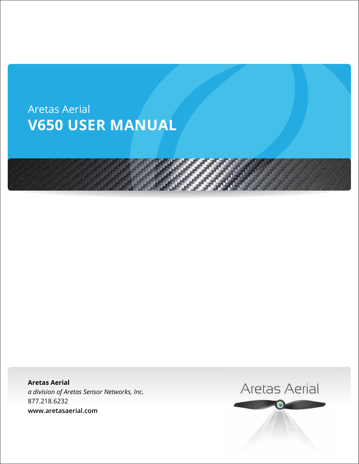



 $M_{\rm H}$  Class Action Aretas Sensor Networks, Inc. *a division of Aretas Sensor Networks, Inc.* **www.areto.o**z.com **Aretas Aerial** 877.218.6232 **www.aretasaerial.com**

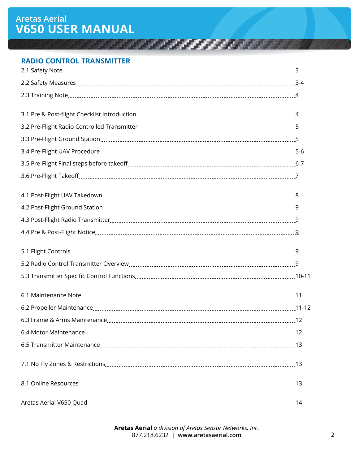# **Aretas Aerial V650 User Manual**

#### **RADIO CONTROL TRANSMITTER**

| 14 |
|----|

<u> Kanada a Santana a Tanzania a Tanzania a Tanzania a Tanzania a Tanzania a Tanzania a Tanzania a Tanzania a Ta</u>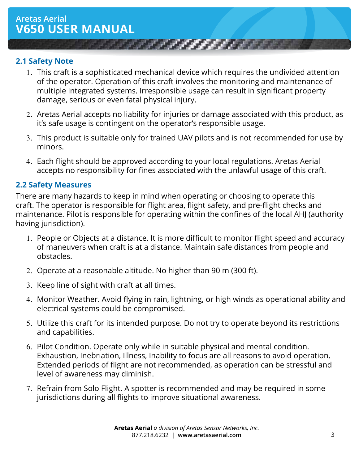## **2.1 Safety Note**

1. This craft is a sophisticated mechanical device which requires the undivided attention of the operator. Operation of this craft involves the monitoring and maintenance of multiple integrated systems. Irresponsible usage can result in significant property damage, serious or even fatal physical injury.

*CAR AND A FIX A STREET* 

- 2. Aretas Aerial accepts no liability for injuries or damage associated with this product, as it's safe usage is contingent on the operator's responsible usage.
- 3. This product is suitable only for trained UAV pilots and is not recommended for use by minors.
- 4. Each flight should be approved according to your local regulations. Aretas Aerial accepts no responsibility for fines associated with the unlawful usage of this craft.

## **2.2 Safety Measures**

There are many hazards to keep in mind when operating or choosing to operate this craft. The operator is responsible for flight area, flight safety, and pre-flight checks and maintenance. Pilot is responsible for operating within the confines of the local AHJ (authority having jurisdiction).

- 1. People or Objects at a distance. It is more difficult to monitor flight speed and accuracy of maneuvers when craft is at a distance. Maintain safe distances from people and obstacles.
- 2. Operate at a reasonable altitude. No higher than 90 m (300 ft).
- 3. Keep line of sight with craft at all times.
- 4. Monitor Weather. Avoid flying in rain, lightning, or high winds as operational ability and electrical systems could be compromised.
- 5. Utilize this craft for its intended purpose. Do not try to operate beyond its restrictions and capabilities.
- 6. Pilot Condition. Operate only while in suitable physical and mental condition. Exhaustion, Inebriation, Illness, Inability to focus are all reasons to avoid operation. Extended periods of flight are not recommended, as operation can be stressful and level of awareness may diminish.
- 7. Refrain from Solo Flight. A spotter is recommended and may be required in some jurisdictions during all flights to improve situational awareness.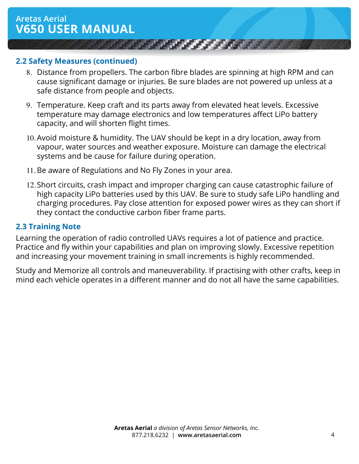#### **2.2 Safety Measures (continued)**

8. Distance from propellers. The carbon fibre blades are spinning at high RPM and can cause significant damage or injuries. Be sure blades are not powered up unless at a safe distance from people and objects.

*CALCULUM AND* 

- 9. Temperature. Keep craft and its parts away from elevated heat levels. Excessive temperature may damage electronics and low temperatures affect LiPo battery capacity, and will shorten flight times.
- 10.Avoid moisture & humidity. The UAV should be kept in a dry location, away from vapour, water sources and weather exposure. Moisture can damage the electrical systems and be cause for failure during operation.
- 11. Be aware of Regulations and No Fly Zones in your area.
- 12.Short circuits, crash impact and improper charging can cause catastrophic failure of high capacity LiPo batteries used by this UAV. Be sure to study safe LiPo handling and charging procedures. Pay close attention for exposed power wires as they can short if they contact the conductive carbon fiber frame parts.

#### **2.3 Training Note**

Learning the operation of radio controlled UAVs requires a lot of patience and practice. Practice and fly within your capabilities and plan on improving slowly. Excessive repetition and increasing your movement training in small increments is highly recommended.

Study and Memorize all controls and maneuverability. If practising with other crafts, keep in mind each vehicle operates in a different manner and do not all have the same capabilities.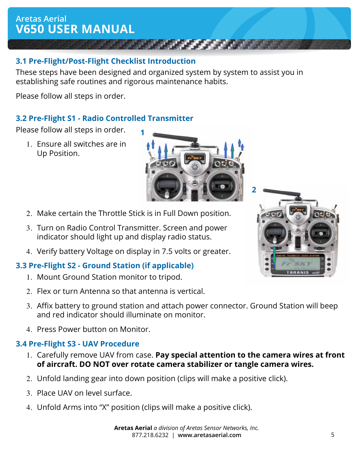## **3.1 Pre-Flight/Post-Flight Checklist Introduction**

These steps have been designed and organized system by system to assist you in establishing safe routines and rigorous maintenance habits.

**1**

Please follow all steps in order.

## **3.2 Pre-Flight S1 - Radio Controlled Transmitter**

Please follow all steps in order.

1. Ensure all switches are in Up Position.



- 3. Turn on Radio Control Transmitter. Screen and power indicator should light up and display radio status.
- 4. Verify battery Voltage on display in 7.5 volts or greater.

#### **3.3 Pre-Flight S2 - Ground Station (if applicable)**

- 1. Mount Ground Station monitor to tripod.
- 2. Flex or turn Antenna so that antenna is vertical.
- 3. Affix battery to ground station and attach power connector. Ground Station will beep and red indicator should illuminate on monitor.
- 4. Press Power button on Monitor.

## **3.4 Pre-Flight S3 - UAV Procedure**

- 1. Carefully remove UAV from case. **Pay special attention to the camera wires at front of aircraft. DO NOT over rotate camera stabilizer or tangle camera wires.**
- 2. Unfold landing gear into down position (clips will make a positive click).
- 3. Place UAV on level surface.
- 4. Unfold Arms into "X" position (clips will make a positive click).

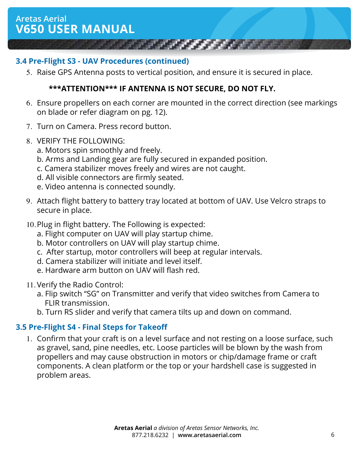## **3.4 Pre-Flight S3 - UAV Procedures (continued)**

5. Raise GPS Antenna posts to vertical position, and ensure it is secured in place.

#### **\*\*\*ATTENTION\*\*\* IF ANTENNA IS NOT SECURE, DO NOT FLY.**

6. Ensure propellers on each corner are mounted in the correct direction (see markings on blade or refer diagram on pg. 12).

**All Service** 

- 7. Turn on Camera. Press record button.
- 8. VERIFY THE FOLLOWING:
	- a. Motors spin smoothly and freely.
	- b. Arms and Landing gear are fully secured in expanded position.
	- c. Camera stabilizer moves freely and wires are not caught.
	- d. All visible connectors are firmly seated.
	- e. Video antenna is connected soundly.
- 9. Attach flight battery to battery tray located at bottom of UAV. Use Velcro straps to secure in place.
- 10.Plug in flight battery. The Following is expected:
	- a. Flight computer on UAV will play startup chime.
	- b. Motor controllers on UAV will play startup chime.
	- c. After startup, motor controllers will beep at regular intervals.
	- d. Camera stabilizer will initiate and level itself.
	- e. Hardware arm button on UAV will flash red.
- 11. Verify the Radio Control:
	- a. Flip switch "SG" on Transmitter and verify that video switches from Camera to FLIR transmission.
	- b. Turn RS slider and verify that camera tilts up and down on command.

## **3.5 Pre-Flight S4 - Final Steps for Takeoff**

1. Confirm that your craft is on a level surface and not resting on a loose surface, such as gravel, sand, pine needles, etc. Loose particles will be blown by the wash from propellers and may cause obstruction in motors or chip/damage frame or craft components. A clean platform or the top or your hardshell case is suggested in problem areas.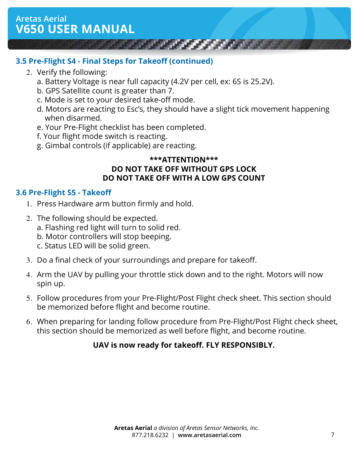## **3.5 Pre-Flight S4 - Final Steps for Takeoff (continued)**

- 2. Verify the following:
	- a. Battery Voltage is near full capacity (4.2V per cell, ex: 6S is 25.2V).
	- b. GPS Satellite count is greater than 7.
	- c. Mode is set to your desired take-off mode.
	- d. Motors are reacting to Esc's, they should have a slight tick movement happening when disarmed.
	- e. Your Pre-Flight checklist has been completed.
	- f. Your flight mode switch is reacting.
	- g. Gimbal controls (if applicable) are reacting.

#### **\*\*\*ATTENTION\*\*\* DO NOT TAKE OFF WITHOUT GPS LOCK DO NOT TAKE OFF WITH A LOW GPS COUNT**

## **3.6 Pre-Flight S5 - Takeoff**

- 1. Press Hardware arm button firmly and hold.
- 2. The following should be expected. a. Flashing red light will turn to solid red. b. Motor controllers will stop beeping.
	- c. Status LED will be solid green.
- 3. Do a final check of your surroundings and prepare for takeoff.
- 4. Arm the UAV by pulling your throttle stick down and to the right. Motors will now spin up.
- 5. Follow procedures from your Pre-Flight/Post Flight check sheet. This section should be memorized before flight and become routine.
- 6. When preparing for landing follow procedure from Pre-Flight/Post Flight check sheet, this section should be memorized as well before flight, and become routine.

## **UAV is now ready for takeoff. FLY RESPONSIBLY.**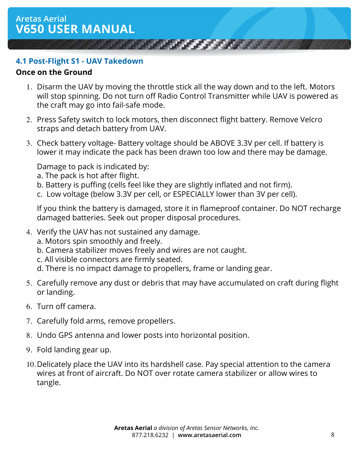#### **4.1 Post-Flight S1 - UAV Takedown**

#### **Once on the Ground**

1. Disarm the UAV by moving the throttle stick all the way down and to the left. Motors will stop spinning. Do not turn off Radio Control Transmitter while UAV is powered as the craft may go into fail-safe mode.

**AND A REAL PROPERTY** 

- 2. Press Safety switch to lock motors, then disconnect flight battery. Remove Velcro straps and detach battery from UAV.
- 3. Check battery voltage- Battery voltage should be ABOVE 3.3V per cell. If battery is lower it may indicate the pack has been drawn too low and there may be damage.

Damage to pack is indicated by:

- a. The pack is hot after flight.
- b. Battery is puffing (cells feel like they are slightly inflated and not firm).
- c. Low voltage (below 3.3V per cell, or ESPECIALLY lower than 3V per cell).

If you think the battery is damaged, store it in flameproof container. Do NOT recharge damaged batteries. Seek out proper disposal procedures.

- 4. Verify the UAV has not sustained any damage.
	- a. Motors spin smoothly and freely.
	- b. Camera stabilizer moves freely and wires are not caught.
	- c. All visible connectors are firmly seated.
	- d. There is no impact damage to propellers, frame or landing gear.
- 5. Carefully remove any dust or debris that may have accumulated on craft during flight or landing.
- 6. Turn off camera.
- 7. Carefully fold arms, remove propellers.
- 8. Undo GPS antenna and lower posts into horizontal position.
- 9. Fold landing gear up.
- 10.Delicately place the UAV into its hardshell case. Pay special attention to the camera wires at front of aircraft. Do NOT over rotate camera stabilizer or allow wires to tangle.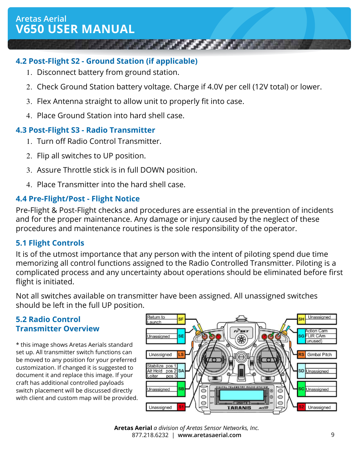## **4.2 Post-Flight S2 - Ground Station (if applicable)**

- 1. Disconnect battery from ground station.
- 2. Check Ground Station battery voltage. Charge if 4.0V per cell (12V total) or lower.

**Contract of the Contract of the Contract of the Contract of the Contract of the Contract of the Contract of the Contract of the Contract of the Contract of the Contract of the Contract of the Contract of the Contract of t** 

- 3. Flex Antenna straight to allow unit to properly fit into case.
- 4. Place Ground Station into hard shell case.

## **4.3 Post-Flight S3 - Radio Transmitter**

- 1. Turn off Radio Control Transmitter.
- 2. Flip all switches to UP position.
- 3. Assure Throttle stick is in full DOWN position.
- 4. Place Transmitter into the hard shell case.

## **4.4 Pre-Flight/Post - Flight Notice**

Pre-Flight & Post-Flight checks and procedures are essential in the prevention of incidents and for the proper maintenance. Any damage or injury caused by the neglect of these procedures and maintenance routines is the sole responsibility of the operator.

## **5.1 Flight Controls**

It is of the utmost importance that any person with the intent of piloting spend due time memorizing all control functions assigned to the Radio Controlled Transmitter. Piloting is a complicated process and any uncertainty about operations should be eliminated before first flight is initiated.

Not all switches available on transmitter have been assigned. All unassigned switches should be left in the full UP position.

## **5.2 Radio Control Transmitter Overview**

\* this image shows Aretas Aerials standard set up. All transmitter switch functions can be moved to any position for your preferred customization. If changed it is suggested to document it and replace this image. If your craft has additional controlled payloads switch placement will be discussed directly with client and custom map will be provided.

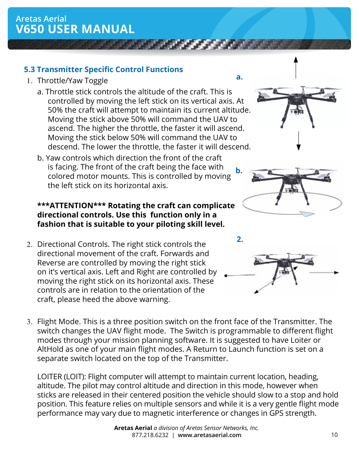## **5.3 Transmitter Specific Control Functions**

- 1. Throttle/Yaw Toggle
	- a. Throttle stick controls the altitude of the craft. This is controlled by moving the left stick on its vertical axis. At 50% the craft will attempt to maintain its current altitude. Moving the stick above 50% will command the UAV to ascend. The higher the throttle, the faster it will ascend. Moving the stick below 50% will command the UAV to descend. The lower the throttle, the faster it will descend.
	- b. Yaw controls which direction the front of the craft is facing. The front of the craft being the face with colored motor mounts. This is controlled by moving the left stick on its horizontal axis.

## **\*\*\*ATTENTION\*\*\* Rotating the craft can complicate directional controls. Use this function only in a fashion that is suitable to your piloting skill level.**

- 2. Directional Controls. The right stick controls the directional movement of the craft. Forwards and Reverse are controlled by moving the right stick on it's vertical axis. Left and Right are controlled by moving the right stick on its horizontal axis. These controls are in relation to the orientation of the craft, please heed the above warning.
- 3. Flight Mode. This is a three position switch on the front face of the Transmitter. The switch changes the UAV flight mode. The Switch is programmable to different flight modes through your mission planning software. It is suggested to have Loiter or AltHold as one of your main flight modes. A Return to Launch function is set on a separate switch located on the top of the Transmitter.

LOITER (LOIT): Flight computer will attempt to maintain current location, heading, altitude. The pilot may control altitude and direction in this mode, however when sticks are released in their centered position the vehicle should slow to a stop and hold position. This feature relies on multiple sensors and while it is a very gentle flight mode performance may vary due to magnetic interference or changes in GPS strength.





**a.**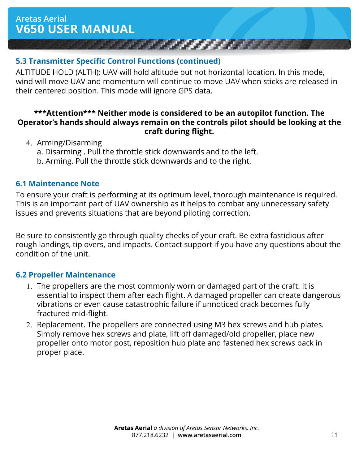## **5.3 Transmitter Specific Control Functions (continued)**

ALTITUDE HOLD (ALTH): UAV will hold altitude but not horizontal location. In this mode, wind will move UAV and momentum will continue to move UAV when sticks are released in their centered position. This mode will ignore GPS data.

#### **\*\*\*Attention\*\*\* Neither mode is considered to be an autopilot function. The Operator's hands should always remain on the controls pilot should be looking at the craft during flight.**

- 4. Arming/Disarming
	- a. Disarming . Pull the throttle stick downwards and to the left.
	- b. Arming. Pull the throttle stick downwards and to the right.

## **6.1 Maintenance Note**

To ensure your craft is performing at its optimum level, thorough maintenance is required. This is an important part of UAV ownership as it helps to combat any unnecessary safety issues and prevents situations that are beyond piloting correction.

Be sure to consistently go through quality checks of your craft. Be extra fastidious after rough landings, tip overs, and impacts. Contact support if you have any questions about the condition of the unit.

#### **6.2 Propeller Maintenance**

- 1. The propellers are the most commonly worn or damaged part of the craft. It is essential to inspect them after each flight. A damaged propeller can create dangerous vibrations or even cause catastrophic failure if unnoticed crack becomes fully fractured mid-flight.
- 2. Replacement. The propellers are connected using M3 hex screws and hub plates. Simply remove hex screws and plate, lift off damaged/old propeller, place new propeller onto motor post, reposition hub plate and fastened hex screws back in proper place.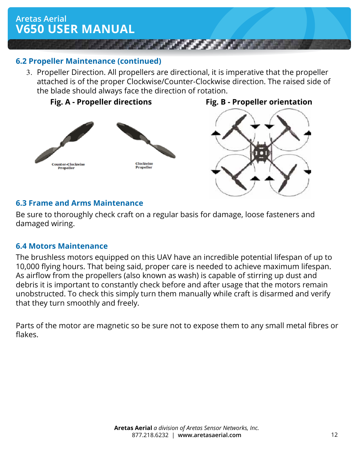

### **6.2 Propeller Maintenance (continued)**

3. Propeller Direction. All propellers are directional, it is imperative that the propeller attached is of the proper Clockwise/Counter-Clockwise direction. The raised side of the blade should always face the direction of rotation.





#### **6.3 Frame and Arms Maintenance**

Be sure to thoroughly check craft on a regular basis for damage, loose fasteners and damaged wiring.

#### **6.4 Motors Maintenance**

The brushless motors equipped on this UAV have an incredible potential lifespan of up to 10,000 flying hours. That being said, proper care is needed to achieve maximum lifespan. As airflow from the propellers (also known as wash) is capable of stirring up dust and debris it is important to constantly check before and after usage that the motors remain unobstructed. To check this simply turn them manually while craft is disarmed and verify that they turn smoothly and freely.

Parts of the motor are magnetic so be sure not to expose them to any small metal fibres or flakes.